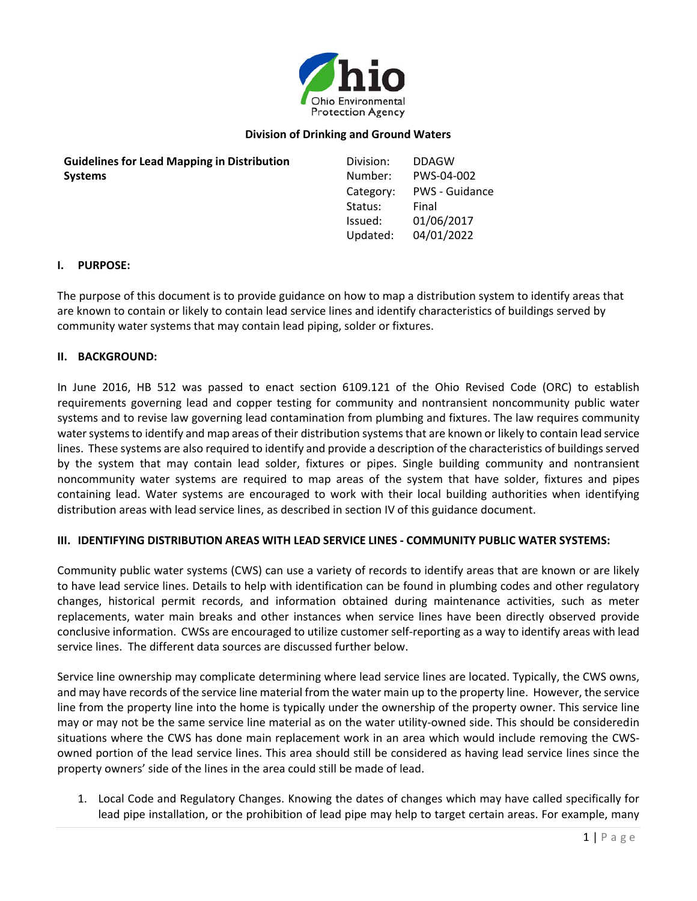

# **Division of Drinking and Ground Waters**

| <b>Guidelines for Lead Mapping in Distribution</b> | Division: | <b>DDAGW</b>          |
|----------------------------------------------------|-----------|-----------------------|
| <b>Systems</b>                                     | Number:   | PWS-04-002            |
|                                                    | Category: | <b>PWS - Guidance</b> |
|                                                    | Status:   | Final                 |
|                                                    | Issued:   | 01/06/2017            |
|                                                    | Updated:  | 04/01/2022            |

#### **I. PURPOSE:**

The purpose of this document is to provide guidance on how to map a distribution system to identify areas that are known to contain or likely to contain lead service lines and identify characteristics of buildings served by community water systems that may contain lead piping, solder or fixtures.

#### **II. BACKGROUND:**

In June 2016, HB 512 was passed to enact section 6109.121 of the Ohio Revised Code (ORC) to establish requirements governing lead and copper testing for community and nontransient noncommunity public water systems and to revise law governing lead contamination from plumbing and fixtures. The law requires community water systems to identify and map areas of their distribution systems that are known or likely to contain lead service lines. These systems are also required to identify and provide a description of the characteristics of buildings served by the system that may contain lead solder, fixtures or pipes. Single building community and nontransient noncommunity water systems are required to map areas of the system that have solder, fixtures and pipes containing lead. Water systems are encouraged to work with their local building authorities when identifying distribution areas with lead service lines, as described in section IV of this guidance document.

### **III. IDENTIFYING DISTRIBUTION AREAS WITH LEAD SERVICE LINES - COMMUNITY PUBLIC WATER SYSTEMS:**

Community public water systems (CWS) can use a variety of records to identify areas that are known or are likely to have lead service lines. Details to help with identification can be found in plumbing codes and other regulatory changes, historical permit records, and information obtained during maintenance activities, such as meter replacements, water main breaks and other instances when service lines have been directly observed provide conclusive information. CWSs are encouraged to utilize customer self-reporting as a way to identify areas with lead service lines. The different data sources are discussed further below.

Service line ownership may complicate determining where lead service lines are located. Typically, the CWS owns, and may have records of the service line material from the water main up to the property line. However, the service line from the property line into the home is typically under the ownership of the property owner. This service line may or may not be the same service line material as on the water utility-owned side. This should be consideredin situations where the CWS has done main replacement work in an area which would include removing the CWSowned portion of the lead service lines. This area should still be considered as having lead service lines since the property owners' side of the lines in the area could still be made of lead.

1. Local Code and Regulatory Changes. Knowing the dates of changes which may have called specifically for lead pipe installation, or the prohibition of lead pipe may help to target certain areas. For example, many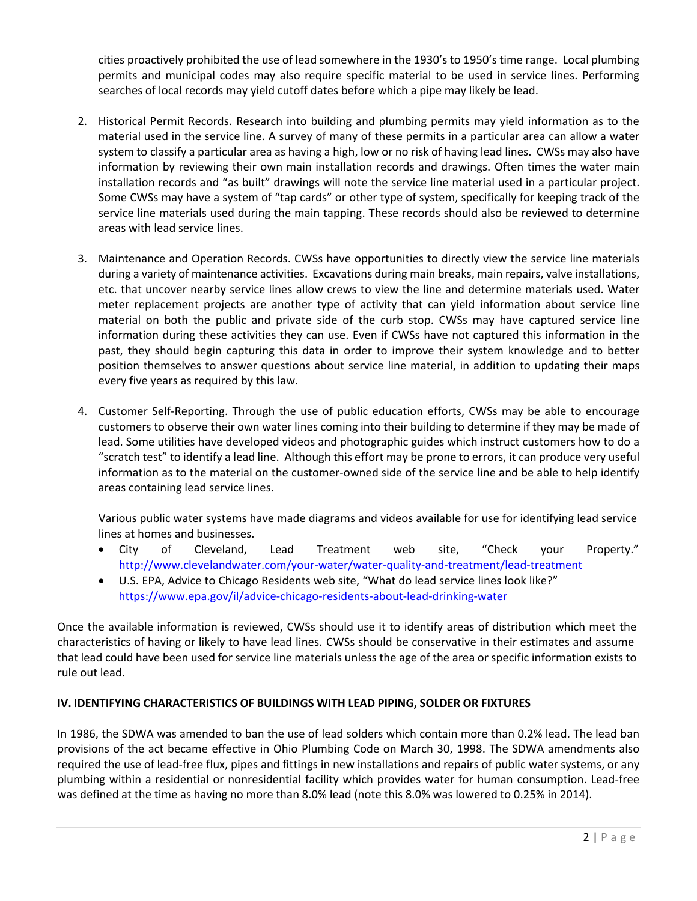cities proactively prohibited the use of lead somewhere in the 1930's to 1950's time range. Local plumbing permits and municipal codes may also require specific material to be used in service lines. Performing searches of local records may yield cutoff dates before which a pipe may likely be lead.

- 2. Historical Permit Records. Research into building and plumbing permits may yield information as to the material used in the service line. A survey of many of these permits in a particular area can allow a water system to classify a particular area as having a high, low or no risk of having lead lines. CWSs may also have information by reviewing their own main installation records and drawings. Often times the water main installation records and "as built" drawings will note the service line material used in a particular project. Some CWSs may have a system of "tap cards" or other type of system, specifically for keeping track of the service line materials used during the main tapping. These records should also be reviewed to determine areas with lead service lines.
- 3. Maintenance and Operation Records. CWSs have opportunities to directly view the service line materials during a variety of maintenance activities. Excavations during main breaks, main repairs, valve installations, etc. that uncover nearby service lines allow crews to view the line and determine materials used. Water meter replacement projects are another type of activity that can yield information about service line material on both the public and private side of the curb stop. CWSs may have captured service line information during these activities they can use. Even if CWSs have not captured this information in the past, they should begin capturing this data in order to improve their system knowledge and to better position themselves to answer questions about service line material, in addition to updating their maps every five years as required by this law.
- 4. Customer Self-Reporting. Through the use of public education efforts, CWSs may be able to encourage customers to observe their own water lines coming into their building to determine if they may be made of lead. Some utilities have developed videos and photographic guides which instruct customers how to do a "scratch test" to identify a lead line. Although this effort may be prone to errors, it can produce very useful information as to the material on the customer-owned side of the service line and be able to help identify areas containing lead service lines.

Various public water systems have made diagrams and videos available for use for identifying lead service lines at homes and businesses.

- City of Cleveland, Lead Treatment web site, "Check your Property." <http://www.clevelandwater.com/your-water/water-quality-and-treatment/lead-treatment>
- U.S. EPA, Advice to Chicago Residents web site, "What do lead service lines look like?" <https://www.epa.gov/il/advice-chicago-residents-about-lead-drinking-water>

Once the available information is reviewed, CWSs should use it to identify areas of distribution which meet the characteristics of having or likely to have lead lines. CWSs should be conservative in their estimates and assume that lead could have been used for service line materials unless the age of the area or specific information exists to rule out lead.

# **IV. IDENTIFYING CHARACTERISTICS OF BUILDINGS WITH LEAD PIPING, SOLDER OR FIXTURES**

In 1986, the SDWA was amended to ban the use of lead solders which contain more than 0.2% lead. The lead ban provisions of the act became effective in Ohio Plumbing Code on March 30, 1998. The SDWA amendments also required the use of lead-free flux, pipes and fittings in new installations and repairs of public water systems, or any plumbing within a residential or nonresidential facility which provides water for human consumption. Lead-free was defined at the time as having no more than 8.0% lead (note this 8.0% was lowered to 0.25% in 2014).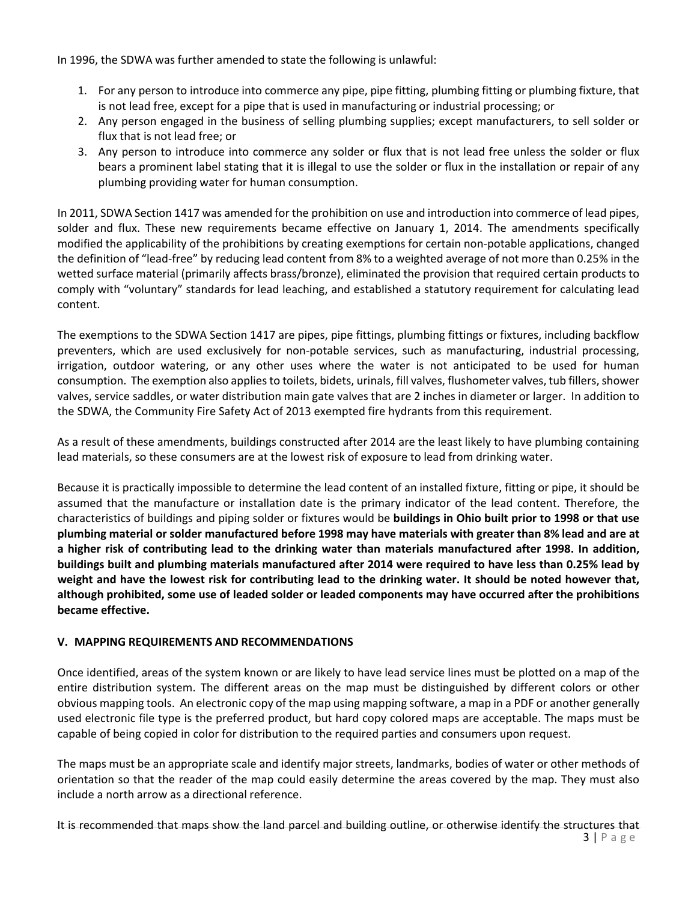In 1996, the SDWA was further amended to state the following is unlawful:

- 1. For any person to introduce into commerce any pipe, pipe fitting, plumbing fitting or plumbing fixture, that is not lead free, except for a pipe that is used in manufacturing or industrial processing; or
- 2. Any person engaged in the business of selling plumbing supplies; except manufacturers, to sell solder or flux that is not lead free; or
- 3. Any person to introduce into commerce any solder or flux that is not lead free unless the solder or flux bears a prominent label stating that it is illegal to use the solder or flux in the installation or repair of any plumbing providing water for human consumption.

In 2011, SDWA Section 1417 was amended for the prohibition on use and introduction into commerce of lead pipes, solder and flux. These new requirements became effective on January 1, 2014. The amendments specifically modified the applicability of the prohibitions by creating exemptions for certain non-potable applications, changed the definition of "lead-free" by reducing lead content from 8% to a weighted average of not more than 0.25% in the wetted surface material (primarily affects brass/bronze), eliminated the provision that required certain products to comply with "voluntary" standards for lead leaching, and established a statutory requirement for calculating lead content.

The exemptions to the SDWA Section 1417 are pipes, pipe fittings, plumbing fittings or fixtures, including backflow preventers, which are used exclusively for non-potable services, such as manufacturing, industrial processing, irrigation, outdoor watering, or any other uses where the water is not anticipated to be used for human consumption. The exemption also applies to toilets, bidets, urinals, fill valves, flushometer valves, tub fillers, shower valves, service saddles, or water distribution main gate valves that are 2 inches in diameter or larger. In addition to the SDWA, the Community Fire Safety Act of 2013 exempted fire hydrants from this requirement.

As a result of these amendments, buildings constructed after 2014 are the least likely to have plumbing containing lead materials, so these consumers are at the lowest risk of exposure to lead from drinking water.

Because it is practically impossible to determine the lead content of an installed fixture, fitting or pipe, it should be assumed that the manufacture or installation date is the primary indicator of the lead content. Therefore, the characteristics of buildings and piping solder or fixtures would be **buildings in Ohio built prior to 1998 or that use** plumbing material or solder manufactured before 1998 may have materials with greater than 8% lead and are at **a higher risk of contributing lead to the drinking water than materials manufactured after 1998. In addition, buildings built and plumbing materials manufactured after 2014 were required to have less than 0.25% lead by weight and have the lowest risk for contributing lead to the drinking water. It should be noted however that, although prohibited, some use of leaded solder or leaded components may have occurred after the prohibitions became effective.**

# **V. MAPPING REQUIREMENTS AND RECOMMENDATIONS**

Once identified, areas of the system known or are likely to have lead service lines must be plotted on a map of the entire distribution system. The different areas on the map must be distinguished by different colors or other obvious mapping tools. An electronic copy of the map using mapping software, a map in a PDF or another generally used electronic file type is the preferred product, but hard copy colored maps are acceptable. The maps must be capable of being copied in color for distribution to the required parties and consumers upon request.

The maps must be an appropriate scale and identify major streets, landmarks, bodies of water or other methods of orientation so that the reader of the map could easily determine the areas covered by the map. They must also include a north arrow as a directional reference.

 $3 | P \text{ agree}$ It is recommended that maps show the land parcel and building outline, or otherwise identify the structures that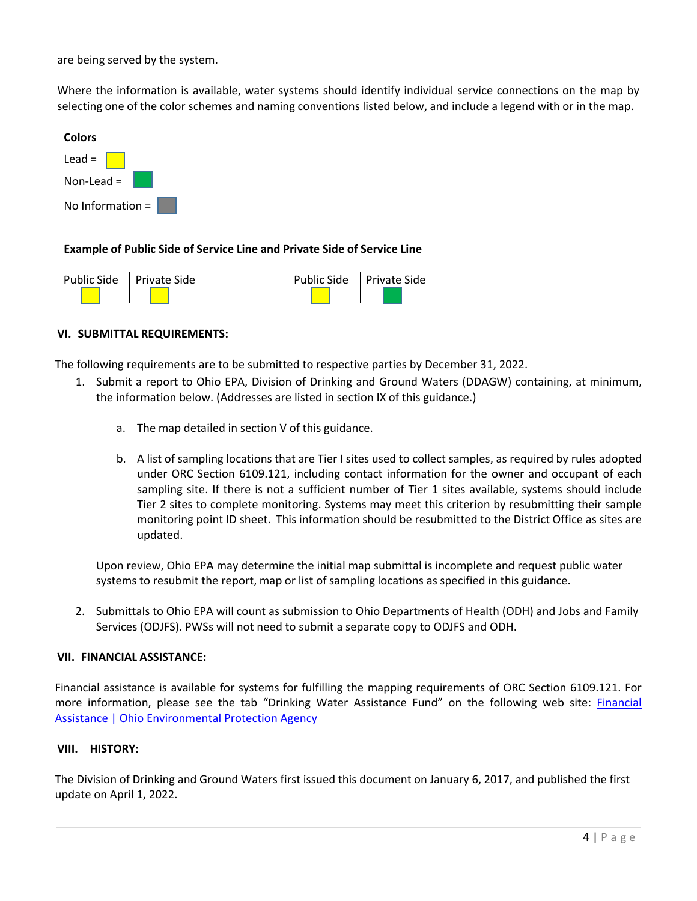are being served by the system.

Where the information is available, water systems should identify individual service connections on the map by selecting one of the color schemes and naming conventions listed below, and include a legend with or in the map.



# **Example of Public Side of Service Line and Private Side of Service Line**

| Public Side Private Side | Public Side Private Side |  |
|--------------------------|--------------------------|--|
|                          |                          |  |

# **VI. SUBMITTAL REQUIREMENTS:**

The following requirements are to be submitted to respective parties by December 31, 2022.

- 1. Submit a report to Ohio EPA, Division of Drinking and Ground Waters (DDAGW) containing, at minimum, the information below. (Addresses are listed in section IX of this guidance.)
	- a. The map detailed in section V of this guidance.
	- b. A list of sampling locations that are Tier I sites used to collect samples, as required by rules adopted under ORC Section 6109.121, including contact information for the owner and occupant of each sampling site. If there is not a sufficient number of Tier 1 sites available, systems should include Tier 2 sites to complete monitoring. Systems may meet this criterion by resubmitting their sample monitoring point ID sheet. This information should be resubmitted to the District Office as sites are updated.

Upon review, Ohio EPA may determine the initial map submittal is incomplete and request public water systems to resubmit the report, map or list of sampling locations as specified in this guidance.

2. Submittals to Ohio EPA will count as submission to Ohio Departments of Health (ODH) and Jobs and Family Services (ODJFS). PWSs will not need to submit a separate copy to ODJFS and ODH.

### **VII. FINANCIAL ASSISTANCE:**

Financial assistance is available for systems for fulfilling the mapping requirements of ORC Section 6109.121. For more information, please see the tab "Drinking Water Assistance Fund" on the following web site: [Financial](https://epa.ohio.gov/divisions-and-offices/drinking-and-ground-waters/public-water-systems/financial-assistance)  [Assistance | Ohio Environmental Protection Agency](https://epa.ohio.gov/divisions-and-offices/drinking-and-ground-waters/public-water-systems/financial-assistance)

### **VIII. HISTORY:**

The Division of Drinking and Ground Waters first issued this document on January 6, 2017, and published the first update on April 1, 2022.